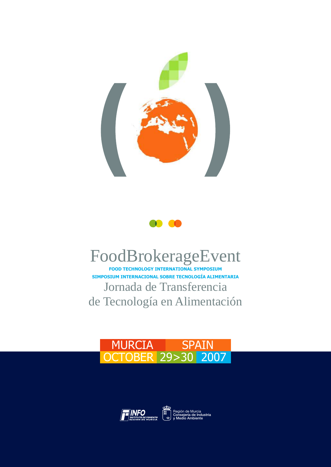



## FoodBrokerageEvent

Jornada de Transferencia de Tecnología en Alimentación **SIMPOSIUM INTERNACIONAL SOBRE TECNOLOGÍA ALIMENTARIA FOOD TECHNOLOGY INTERNATIONAL SYMPOSIUM**

### MURCIA SPAIN OCTOBER 29>30 2007



Región de Murcia Consejería de Industria y Medio Ambiente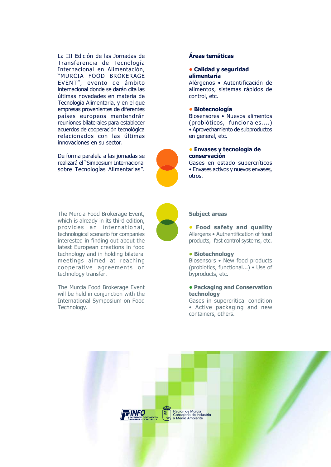La III Edición de las Jornadas de Transferencia de Tecnología Internacional en Alimentación, "MURCIA FOOD BROKERAGE EVENT", evento de ámbito internacional donde se darán cita las últimas novedades en materia de Tecnología Alimentaria, y en el que empresas provenientes de diferentes países europeos mantendrán reuniones bilaterales para establecer acuerdos de cooperación tecnológica relacionados con las últimas innovaciones en su sector.

De forma paralela a las jornadas se realizará el "Simposium Internacional sobre Tecnologías Alimentarias".

#### **Áreas temáticas**

#### **• Calidad y seguridad alimentaria**

Alérgenos • Autentificación de alimentos, sistemas rápidos de control, etc.

#### **• Biotecnología**

Biosensores • Nuevos alimentos (probióticos, funcionales....) • Aprovechamiento de subproductos en general, etc.

#### **• Envases y tecnología de conservación**

Gases en estado supercríticos • Envases activos y nuevos envases, otros.

The Murcia Food Brokerage Event, which is already in its third edition, provides an international, technological scenario for companies interested in finding out about the latest European creations in food technology and in holding bilateral meetings aimed at reaching cooperative agreements on technology transfer.

The Murcia Food Brokerage Event will be held in conjunction with the International Symposium on Food Technology.

#### **Subject areas**

**• Food safety and quality** Allergens • Authentification of food products, fast control systems, etc.

#### **• Biotechnology**

Biosensors • New food products (probiotics, functional...) • Use of byproducts, etc.

#### **• Packaging and Conservation technology**

Gases in supercritical condition • Active packaging and new containers, others.





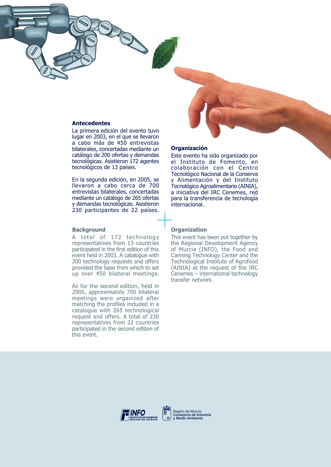#### **Antecedentes**

La primera edición del evento tuvo lugar en 2003, en el que se llevaron a cabo más de 450 entrevistas bilaterales, concertadas mediante un catálogo de 200 ofertas y demandas tecnológicas. Asistieron 172 agentes tecnológicos de 13 países.

En la segunda edición, en 2005, se llevaron a cabo cerca de 700 entrevistas bilaterales, concertadas mediante un catálogo de 265 ofertas y demandas tecnológicas. Asistieron 230 participantes de 22 países.

#### **Background**

A total of 172 technology representatives from 13 countries participated in the first edition of this event held in 2003. A catalogue with 200 technology requests and offers provided the base from which to set up over 450 bilateral meetings.

As for the second edition, held in 2005, approximately 700 bilateral meetings were organized after matching the profiles included in a catalogue with 265 technological request and offers. A total of 230 representatives from 22 countries participated in the second edition of this event.

#### **Organización**

Este evento ha sido organizado por el Instituto de Fomento, en colaboración con el Centro Tecnológico Nacional de la Conserva y Alimentación y del Instituto Tecnológico Agroalimentario (AINIA), a iniciativa del IRC Cenemes, red para la transferencia de tecnología internacional.

#### **Organization**

This event has been put together by the Regional Development Agency of Murcia (INFO), the Food and Canning Technology Center and the Technological Institute of Agrofood (AINIA) at the request of the IRC Cenemes – international technology transfer network.



Región de Murcia Consejería de Industria y Medio Ambiente

ليكليه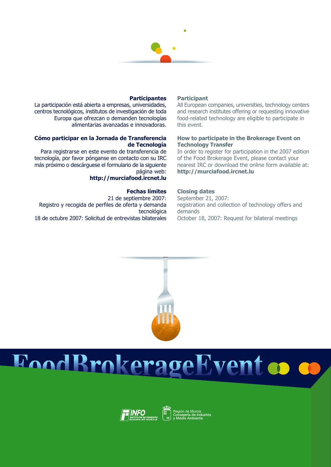

#### **Participantes**

La participación está abierta a empresas, universidades, centros tecnológicos, institutos de investigación de toda Europa que ofrezcan o demanden tecnologías alimentarias avanzadas e innovadoras.

#### **Cómo participar en la Jornada de Transferencia de Tecnología**

Para registrarse en este evento de transferencia de tecnología, por favor pónganse en contacto con su IRC más próximo o descárguese el formulario de la siguiente página web:

#### **http://murciafood.ircnet.lu**

#### **Fechas límites**

21 de septiembre 2007: Registro y recogida de perfiles de oferta y demanda tecnológica 18 de octubre 2007: Solicitud de entrevistas bilaterales

#### **Participant**

All European companies, universities, technology centers and research institutes offering or requesting innovative food-related technology are eligible to participate in this event.

#### **How to participate in the Brokerage Event on Technology Transfer**

In order to register for participation in the 2007 edition of the Food Brokerage Event, please contact your nearest IRC or download the online form available at: **http://murciafood.ircnet.lu**

#### **Closing dates**

September 21, 2007: registration and collection of technology offers and demands October 18, 2007: Request for bilateral meetings



# EoodBrokerageEvent co co



Región de Murcia Consejería de Industria y Medio Ambiente